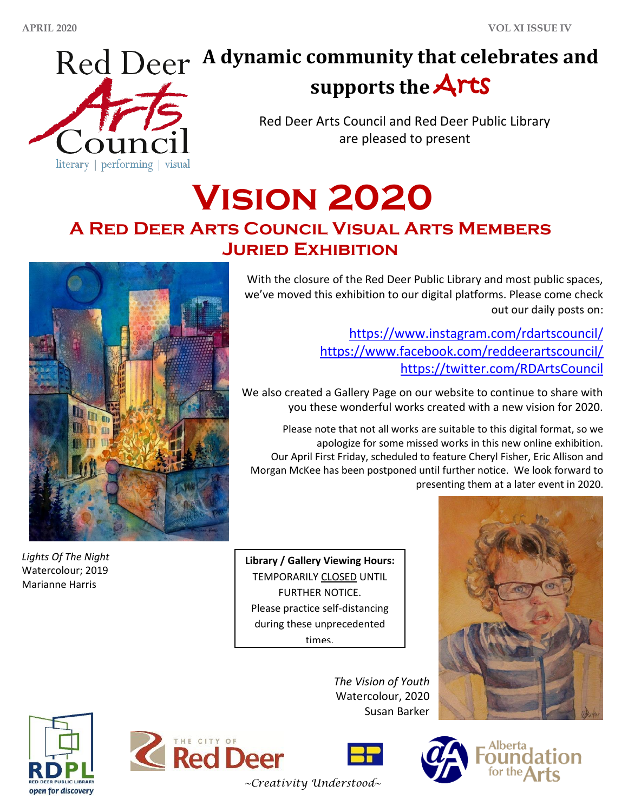

# **A dynamic community that celebrates and supports the** Arts

Red Deer Arts Council and Red Deer Public Library are pleased to present

**Vision 2020**

# **A Red Deer Arts Council Visual Arts Members Juried Exhibition**



*Lights Of The Night* Watercolour; 2019 Marianne Harris

With the closure of the Red Deer Public Library and most public spaces, we've moved this exhibition to our digital platforms. Please come check out our daily posts on:

> <https://www.instagram.com/rdartscouncil/> <https://www.facebook.com/reddeerartscouncil/> <https://twitter.com/RDArtsCouncil>

We also created a Gallery Page on our website to continue to share with you these wonderful works created with a new vision for 2020.

Please note that not all works are suitable to this digital format, so we apologize for some missed works in this new online exhibition. Our April First Friday, scheduled to feature Cheryl Fisher, Eric Allison and Morgan McKee has been postponed until further notice. We look forward to presenting them at a later event in 2020.

**Library / Gallery Viewing Hours:** TEMPORARILY CLOSED UNTIL FURTHER NOTICE. Please practice self-distancing during these unprecedented times.









*The Vision of Youth*



*~Creativity Understood~*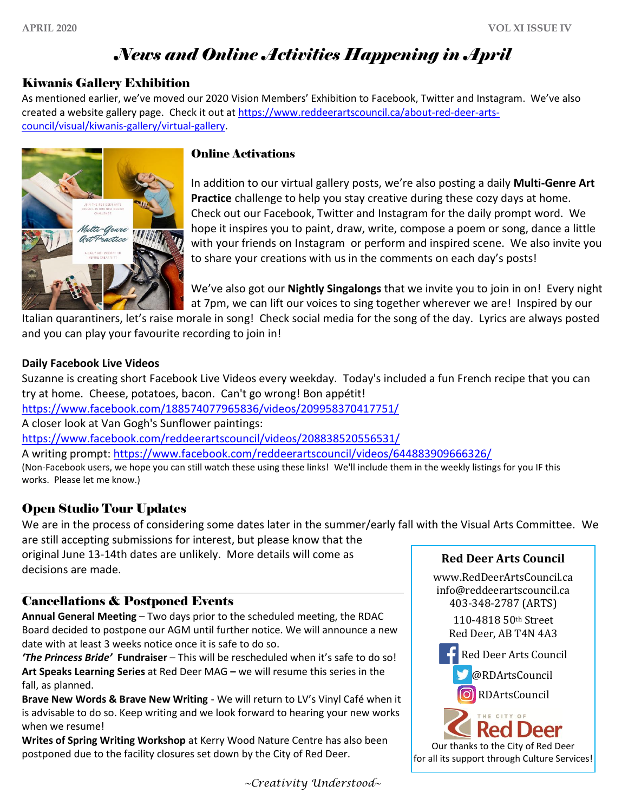## *News and Online Activities Happening in April*

#### Kiwanis Gallery Exhibition

As mentioned earlier, we've moved our 2020 Vision Members' Exhibition to Facebook, Twitter and Instagram. We've also created a website gallery page. Check it out at [https://www.reddeerartscouncil.ca/about-red-deer-arts](https://www.reddeerartscouncil.ca/about-red-deer-arts-council/visual/kiwanis-gallery/virtual-gallery)[council/visual/kiwanis-gallery/virtual-gallery.](https://www.reddeerartscouncil.ca/about-red-deer-arts-council/visual/kiwanis-gallery/virtual-gallery)



#### Online Activations

In addition to our virtual gallery posts, we're also posting a daily **Multi-Genre Art Practice** challenge to help you stay creative during these cozy days at home. Check out our Facebook, Twitter and Instagram for the daily prompt word. We hope it inspires you to paint, draw, write, compose a poem or song, dance a little with your friends on Instagram or perform and inspired scene. We also invite you to share your creations with us in the comments on each day's posts!

We've also got our **Nightly Singalongs** that we invite you to join in on! Every night at 7pm, we can lift our voices to sing together wherever we are! Inspired by our

Italian quarantiners, let's raise morale in song! Check social media for the song of the day. Lyrics are always posted and you can play your favourite recording to join in!

#### **Daily Facebook Live Videos**

Suzanne is creating short Facebook Live Videos every weekday. Today's included a fun French recipe that you can try at home. Cheese, potatoes, bacon. Can't go wrong! Bon appétit!

<https://www.facebook.com/188574077965836/videos/209958370417751/>

A closer look at Van Gogh's Sunflower paintings:

<https://www.facebook.com/reddeerartscouncil/videos/208838520556531/>

A writing prompt: <https://www.facebook.com/reddeerartscouncil/videos/644883909666326/>

(Non-Facebook users, we hope you can still watch these using these links! We'll include them in the weekly listings for you IF this works. Please let me know.)

#### Open Studio Tour Updates

We are in the process of considering some dates later in the summer/early fall with the Visual Arts Committee. We are still accepting submissions for interest, but please know that the

original June 13-14th dates are unlikely. More details will come as decisions are made.

#### Cancellations & Postponed Events

**Annual General Meeting** – Two days prior to the scheduled meeting, the RDAC Board decided to postpone our AGM until further notice. We will announce a new date with at least 3 weeks notice once it is safe to do so.

*'The Princess Bride'* **Fundraiser** – This will be rescheduled when it's safe to do so! **Art Speaks Learning Series** at Red Deer MAG **–** we will resume this series in the fall, as planned.

**Brave New Words & Brave New Writing** - We will return to LV's Vinyl Café when it is advisable to do so. Keep writing and we look forward to hearing your new works when we resume!

**Writes of Spring Writing Workshop** at Kerry Wood Nature Centre has also been postponed due to the facility closures set down by the City of Red Deer.



**Red Deer Arts Council** 

*~Creativity Understood~*